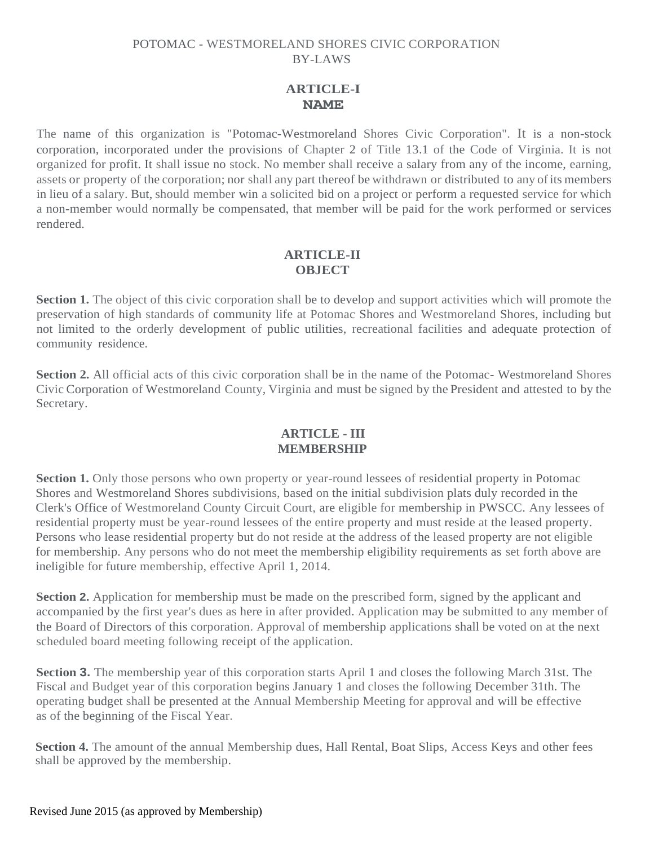# **ARTICLE-I NAME**

The name of this organization is "Potomac-Westmoreland Shores Civic Corporation". It is a non-stock corporation, incorporated under the provisions of Chapter 2 of Title 13.1 of the Code of Virginia. It is not organized for profit. It shall issue no stock. No member shall receive a salary from any of the income, earning, assets or property of the corporation; nor shall any part thereof be withdrawn or distributed to any ofits members in lieu of a salary. But, should member win a solicited bid on a project or perform a requested service for which a non-member would normally be compensated, that member will be paid for the work performed or services rendered.

## **ARTICLE-II OBJECT**

**Section 1.** The object of this civic corporation shall be to develop and support activities which will promote the preservation of high standards of community life at Potomac Shores and Westmoreland Shores, including but not limited to the orderly development of public utilities, recreational facilities and adequate protection of community residence.

**Section 2.** All official acts of this civic corporation shall be in the name of the Potomac- Westmoreland Shores Civic Corporation of Westmoreland County, Virginia and must be signed by the President and attested to by the Secretary.

## **ARTICLE - III MEMBERSHIP**

Section 1. Only those persons who own property or year-round lessees of residential property in Potomac Shores and Westmoreland Shores subdivisions, based on the initial subdivision plats duly recorded in the Clerk's Office of Westmoreland County Circuit Court, are eligible for membership in PWSCC. Any lessees of residential property must be year-round lessees of the entire property and must reside at the leased property. Persons who lease residential property but do not reside at the address of the leased property are not eligible for membership. Any persons who do not meet the membership eligibility requirements as set forth above are ineligible for future membership, effective April 1, 2014.

**Section 2.** Application for membership must be made on the prescribed form, signed by the applicant and accompanied by the first year's dues as here in after provided. Application may be submitted to any member of the Board of Directors of this corporation. Approval of membership applications shall be voted on at the next scheduled board meeting following receipt of the application.

**Section 3.** The membership year of this corporation starts April 1 and closes the following March 31st. The Fiscal and Budget year of this corporation begins January 1 and closes the following December 31th. The operating budget shall be presented at the Annual Membership Meeting for approval and will be effective as of the beginning of the Fiscal Year.

**Section 4.** The amount of the annual Membership dues, Hall Rental, Boat Slips, Access Keys and other fees shall be approved by the membership.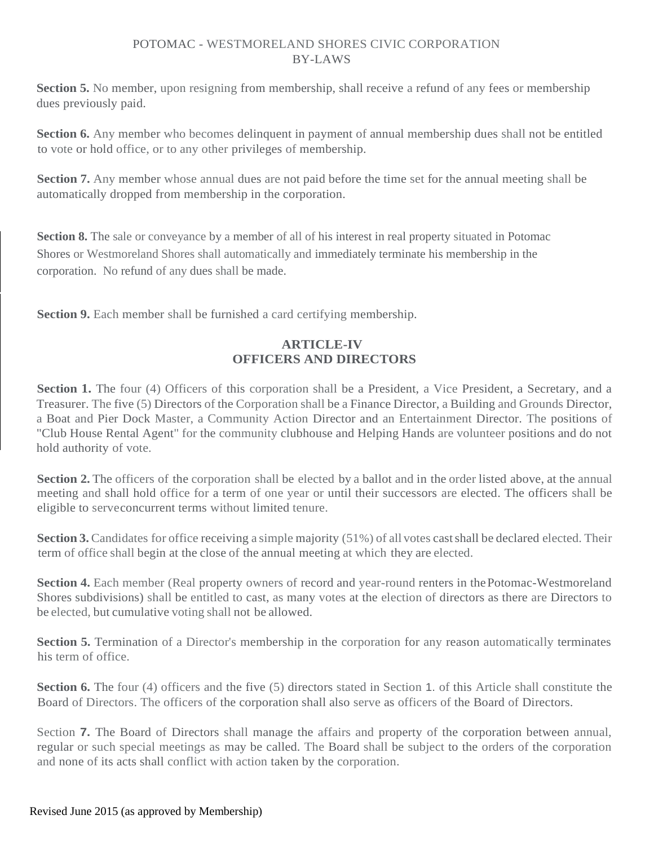**Section 5.** No member, upon resigning from membership, shall receive a refund of any fees or membership dues previously paid.

**Section 6.** Any member who becomes delinquent in payment of annual membership dues shall not be entitled to vote or hold office, or to any other privileges of membership.

**Section 7.** Any member whose annual dues are not paid before the time set for the annual meeting shall be automatically dropped from membership in the corporation.

Section 8. The sale or conveyance by a member of all of his interest in real property situated in Potomac Shores or Westmoreland Shores shall automatically and immediately terminate his membership in the corporation. No refund of any dues shall be made.

**Section 9.** Each member shall be furnished a card certifying membership.

# **ARTICLE-IV OFFICERS AND DIRECTORS**

**Section 1.** The four (4) Officers of this corporation shall be a President, a Vice President, a Secretary, and a Treasurer. The five (5) Directors of the Corporation shall be a Finance Director, a Building and Grounds Director, a Boat and Pier Dock Master, a Community Action Director and an Entertainment Director. The positions of "Club House Rental Agent" for the community clubhouse and Helping Hands are volunteer positions and do not hold authority of vote.

**Section 2.** The officers of the corporation shall be elected by a ballot and in the order listed above, at the annual meeting and shall hold office for a term of one year or until their successors are elected. The officers shall be eligible to serveconcurrent terms without limited tenure.

**Section 3.** Candidates for office receiving a simple majority (51%) of all votes cast shall be declared elected. Their term of office shall begin at the close of the annual meeting at which they are elected.

**Section 4.** Each member (Real property owners of record and year-round renters in the Potomac-Westmoreland Shores subdivisions) shall be entitled to cast, as many votes at the election of directors as there are Directors to be elected, but cumulative voting shall not be allowed.

**Section 5.** Termination of a Director's membership in the corporation for any reason automatically terminates his term of office.

**Section 6.** The four (4) officers and the five (5) directors stated in Section 1. of this Article shall constitute the Board of Directors. The officers of the corporation shall also serve as officers of the Board of Directors.

Section **7.** The Board of Directors shall manage the affairs and property of the corporation between annual, regular or such special meetings as may be called. The Board shall be subject to the orders of the corporation and none of its acts shall conflict with action taken by the corporation.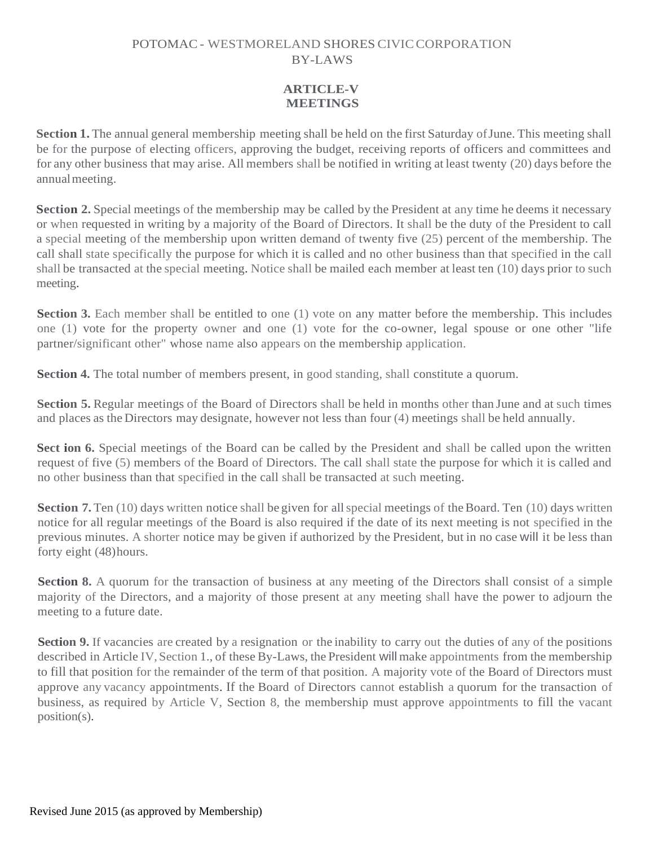## **ARTICLE-V MEETINGS**

**Section 1.** The annual general membership meeting shall be held on the first Saturday of June. This meeting shall be for the purpose of electing officers, approving the budget, receiving reports of officers and committees and for any other business that may arise. All members shall be notified in writing at least twenty (20) days before the annualmeeting.

**Section 2.** Special meetings of the membership may be called by the President at any time he deems it necessary or when requested in writing by a majority of the Board of Directors. It shall be the duty of the President to call a special meeting of the membership upon written demand of twenty five (25) percent of the membership. The call shall state specifically the purpose for which it is called and no other business than that specified in the call shall be transacted at the special meeting. Notice shall be mailed each member at least ten (10) days prior to such meeting.

**Section 3.** Each member shall be entitled to one (1) vote on any matter before the membership. This includes one (1) vote for the property owner and one (1) vote for the co-owner, legal spouse or one other "life partner/significant other" whose name also appears on the membership application.

Section 4. The total number of members present, in good standing, shall constitute a quorum.

**Section 5.** Regular meetings of the Board of Directors shall be held in months other than June and at such times and places as the Directors may designate, however not less than four (4) meetings shall be held annually.

**Sect ion 6.** Special meetings of the Board can be called by the President and shall be called upon the written request of five (5) members of the Board of Directors. The call shall state the purpose for which it is called and no other business than that specified in the call shall be transacted at such meeting.

**Section 7.** Ten (10) days written notice shall be given for all special meetings of the Board. Ten (10) days written notice for all regular meetings of the Board is also required if the date of its next meeting is not specified in the previous minutes. A shorter notice may be given if authorized by the President, but in no case will it be less than forty eight (48)hours.

**Section 8.** A quorum for the transaction of business at any meeting of the Directors shall consist of a simple majority of the Directors, and a majority of those present at any meeting shall have the power to adjourn the meeting to a future date.

**Section 9.** If vacancies are created by a resignation or the inability to carry out the duties of any of the positions described in Article IV, Section 1., of these By-Laws, the President will make appointments from the membership to fill that position for the remainder of the term of that position. A majority vote of the Board of Directors must approve any vacancy appointments. If the Board of Directors cannot establish a quorum for the transaction of business, as required by Article V, Section 8, the membership must approve appointments to fill the vacant position(s).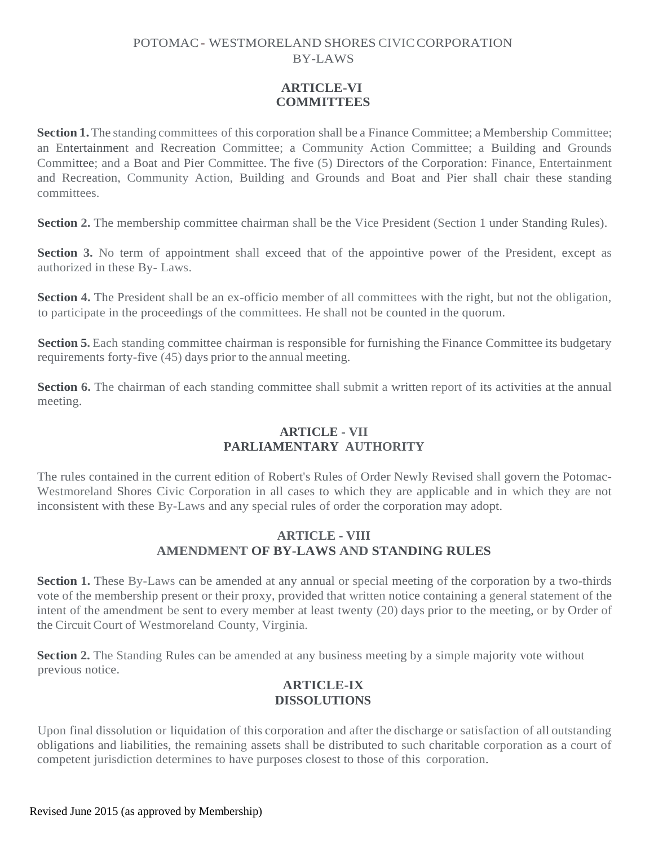## **ARTICLE-VI COMMITTEES**

**Section 1.** The standing committees of this corporation shall be a Finance Committee; a Membership Committee; an Entertainment and Recreation Committee; a Community Action Committee; a Building and Grounds Committee; and a Boat and Pier Committee. The five (5) Directors of the Corporation: Finance, Entertainment and Recreation, Community Action, Building and Grounds and Boat and Pier shall chair these standing committees.

**Section 2.** The membership committee chairman shall be the Vice President (Section 1 under Standing Rules).

**Section 3.** No term of appointment shall exceed that of the appointive power of the President, except as authorized in these By- Laws.

**Section 4.** The President shall be an ex-officio member of all committees with the right, but not the obligation, to participate in the proceedings of the committees. He shall not be counted in the quorum.

**Section 5.** Each standing committee chairman is responsible for furnishing the Finance Committee its budgetary requirements forty-five (45) days prior to the annual meeting.

**Section 6.** The chairman of each standing committee shall submit a written report of its activities at the annual meeting.

## **ARTICLE - VII PARLIAMENTARY AUTHORITY**

The rules contained in the current edition of Robert's Rules of Order Newly Revised shall govern the Potomac-Westmoreland Shores Civic Corporation in all cases to which they are applicable and in which they are not inconsistent with these By-Laws and any special rules of order the corporation may adopt.

## **ARTICLE - VIII AMENDMENT OF BY-LAWS AND STANDING RULES**

**Section 1.** These By-Laws can be amended at any annual or special meeting of the corporation by a two-thirds vote of the membership present or their proxy, provided that written notice containing a general statement of the intent of the amendment be sent to every member at least twenty (20) days prior to the meeting, or by Order of the Circuit Court of Westmoreland County, Virginia.

**Section 2.** The Standing Rules can be amended at any business meeting by a simple majority vote without previous notice.

## **ARTICLE-IX DISSOLUTIONS**

Upon final dissolution or liquidation of this corporation and after the discharge or satisfaction of all outstanding obligations and liabilities, the remaining assets shall be distributed to such charitable corporation as a court of competent jurisdiction determines to have purposes closest to those of this corporation.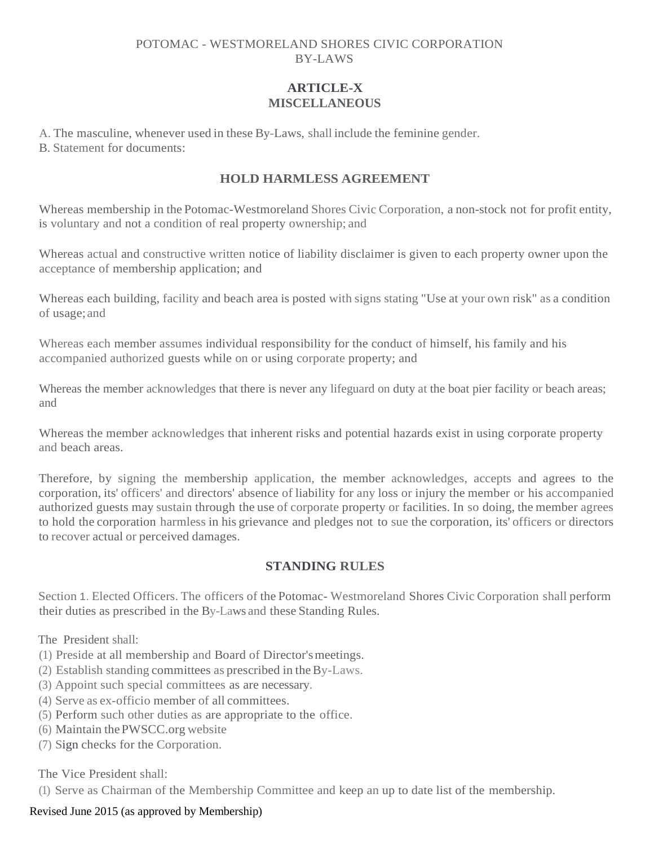## **ARTICLE-X MISCELLANEOUS**

A. The masculine, whenever used in these By-Laws, shall include the feminine gender.

B. Statement for documents:

# **HOLD HARMLESS AGREEMENT**

Whereas membership in the Potomac-Westmoreland Shores Civic Corporation, a non-stock not for profit entity, is voluntary and not a condition of real property ownership; and

Whereas actual and constructive written notice of liability disclaimer is given to each property owner upon the acceptance of membership application; and

Whereas each building, facility and beach area is posted with signs stating "Use at your own risk" as a condition of usage; and

Whereas each member assumes individual responsibility for the conduct of himself, his family and his accompanied authorized guests while on or using corporate property; and

Whereas the member acknowledges that there is never any lifeguard on duty at the boat pier facility or beach areas; and

Whereas the member acknowledges that inherent risks and potential hazards exist in using corporate property and beach areas.

Therefore, by signing the membership application, the member acknowledges, accepts and agrees to the corporation, its' officers' and directors' absence of liability for any loss or injury the member or his accompanied authorized guests may sustain through the use of corporate property or facilities. In so doing, the member agrees to hold the corporation harmless in his grievance and pledges not to sue the corporation, its' officers or directors to recover actual or perceived damages.

# **STANDING RULES**

Section 1. Elected Officers. The officers of the Potomac- Westmoreland Shores Civic Corporation shall perform their duties as prescribed in the By-Laws and these Standing Rules.

The President shall:

- (1) Preside at all membership and Board of Director'smeetings.
- (2) Establish standing committees as prescribed in theBy-Laws.
- (3) Appoint such special committees as are necessary.
- (4) Serve as ex-officio member of all committees.
- (5) Perform such other duties as are appropriate to the office.
- (6) Maintain thePWSCC.org website
- (7) Sign checks for the Corporation.

The Vice President shall:

(1) Serve as Chairman of the Membership Committee and keep an up to date list of the membership.

## Revised June 2015 (as approved by Membership)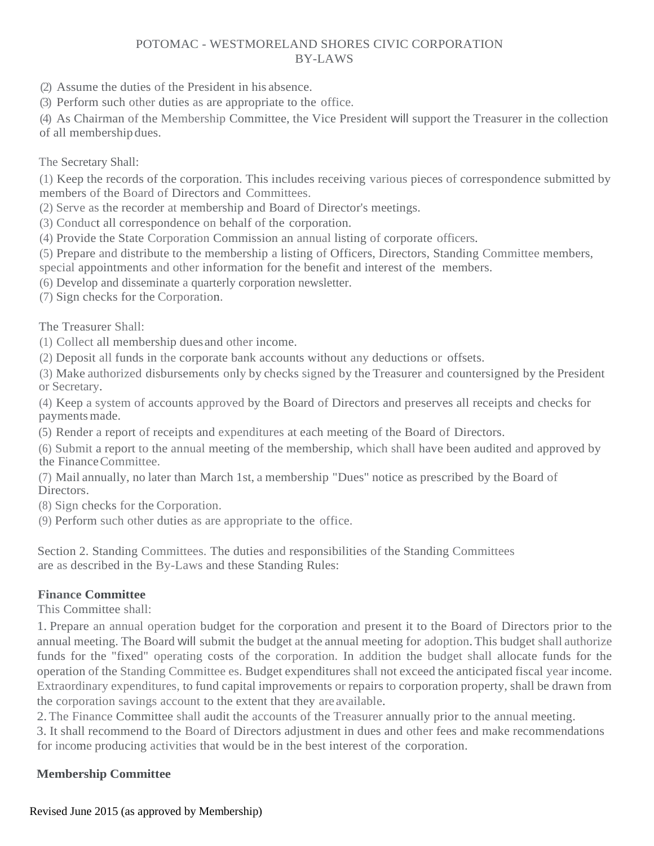- (2) Assume the duties of the President in his absence.
- (3) Perform such other duties as are appropriate to the office.

(4) As Chairman of the Membership Committee, the Vice President will support the Treasurer in the collection

of all membership dues.

### The Secretary Shall:

(1) Keep the records of the corporation. This includes receiving various pieces of correspondence submitted by members of the Board of Directors and Committees.

(2) Serve as the recorder at membership and Board of Director's meetings.

(3) Conduct all correspondence on behalf of the corporation.

(4) Provide the State Corporation Commission an annual listing of corporate officers.

(5) Prepare and distribute to the membership a listing of Officers, Directors, Standing Committee members,

special appointments and other information for the benefit and interest of the members.

(6) Develop and disseminate a quarterly corporation newsletter.

(7) Sign checks for the Corporation.

The Treasurer Shall:

(1) Collect all membership duesand other income.

(2) Deposit all funds in the corporate bank accounts without any deductions or offsets.

(3) Make authorized disbursements only by checks signed by the Treasurer and countersigned by the President or Secretary.

(4) Keep a system of accounts approved by the Board of Directors and preserves all receipts and checks for paymentsmade.

(5) Render a report of receipts and expenditures at each meeting of the Board of Directors.

(6) Submit a report to the annual meeting of the membership, which shall have been audited and approved by the FinanceCommittee.

(7) Mail annually, no later than March 1st, a membership "Dues" notice as prescribed by the Board of Directors.

(8) Sign checks for the Corporation.

(9) Perform such other duties as are appropriate to the office.

Section 2. Standing Committees. The duties and responsibilities of the Standing Committees are as described in the By-Laws and these Standing Rules:

## **Finance Committee**

This Committee shall:

1. Prepare an annual operation budget for the corporation and present it to the Board of Directors prior to the annual meeting. The Board will submit the budget at the annual meeting for adoption. This budget shall authorize funds for the "fixed" operating costs of the corporation. In addition the budget shall allocate funds for the operation of the Standing Committee es. Budget expenditures shall not exceed the anticipated fiscal year income. Extraordinary expenditures, to fund capital improvements or repairs to corporation property, shall be drawn from the corporation savings account to the extent that they are available.

2.The Finance Committee shall audit the accounts of the Treasurer annually prior to the annual meeting.

3. It shall recommend to the Board of Directors adjustment in dues and other fees and make recommendations for income producing activities that would be in the best interest of the corporation.

## **Membership Committee**

Revised June 2015 (as approved by Membership)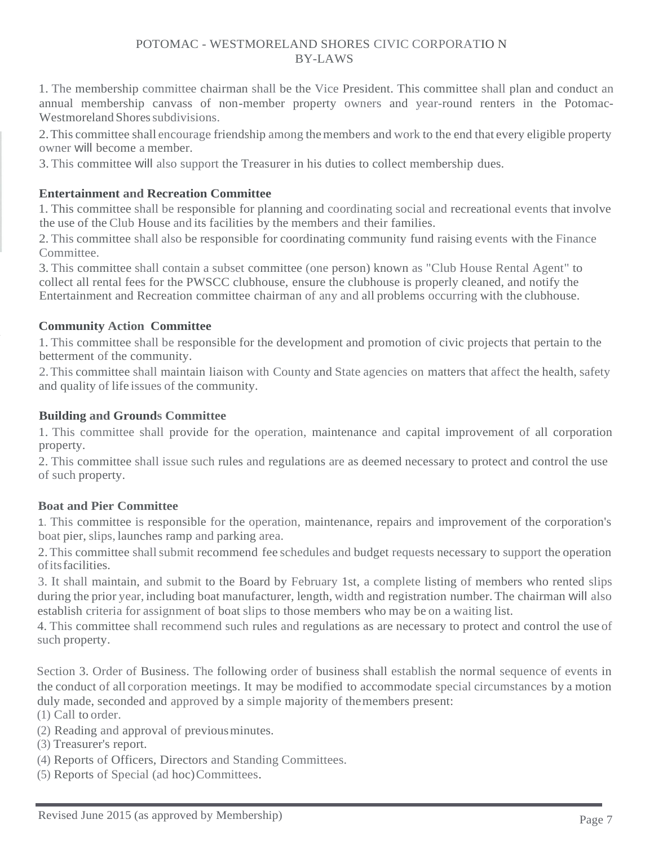1. The membership committee chairman shall be the Vice President. This committee shall plan and conduct an annual membership canvass of non-member property owners and year-round renters in the Potomac-Westmoreland Shores subdivisions.

2.This committee shall encourage friendship among themembers and work to the end that every eligible property owner will become a member.

3. This committee will also support the Treasurer in his duties to collect membership dues.

### **Entertainment and Recreation Committee**

1. This committee shall be responsible for planning and coordinating social and recreational events that involve the use of the Club House and its facilities by the members and their families.

2. This committee shall also be responsible for coordinating community fund raising events with the Finance Committee.

3. This committee shall contain a subset committee (one person) known as "Club House Rental Agent" to collect all rental fees for the PWSCC clubhouse, ensure the clubhouse is properly cleaned, and notify the Entertainment and Recreation committee chairman of any and all problems occurring with the clubhouse.

## **Community Action Committee**

1. This committee shall be responsible for the development and promotion of civic projects that pertain to the betterment of the community.

2.This committee shall maintain liaison with County and State agencies on matters that affect the health, safety and quality of life issues of the community.

### **Building and Grounds Committee**

1. This committee shall provide for the operation, maintenance and capital improvement of all corporation property.

2. This committee shall issue such rules and regulations are as deemed necessary to protect and control the use of such property.

## **Boat and Pier Committee**

1. This committee is responsible for the operation, maintenance, repairs and improvement of the corporation's boat pier, slips, launches ramp and parking area.

2. This committee shall submit recommend fee schedules and budget requests necessary to support the operation ofitsfacilities.

3. It shall maintain, and submit to the Board by February 1st, a complete listing of members who rented slips during the prior year, including boat manufacturer, length, width and registration number. The chairman will also establish criteria for assignment of boat slips to those members who may be on a waiting list.

4. This committee shall recommend such rules and regulations as are necessary to protect and control the use of such property.

Section 3. Order of Business. The following order of business shall establish the normal sequence of events in the conduct of all corporation meetings. It may be modified to accommodate special circumstances by a motion duly made, seconded and approved by a simple majority of themembers present:

(1) Call to order.

- (2) Reading and approval of previousminutes.
- (3) Treasurer's report.
- (4) Reports of Officers, Directors and Standing Committees.
- (5) Reports of Special (ad hoc)Committees.